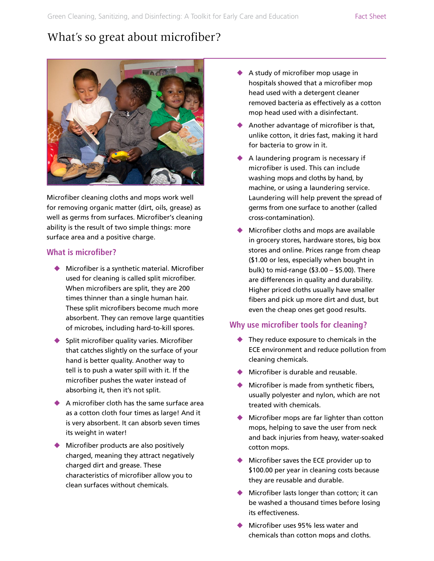# What's so great about microfiber?



Microfiber cleaning cloths and mops work well for removing organic matter (dirt, oils, grease) as well as germs from surfaces. Microfiber's cleaning ability is the result of two simple things: more surface area and a positive charge.

#### **What is microfiber?**

- $\blacklozenge$  Microfiber is a synthetic material. Microfiber used for cleaning is called split microfiber. When microfibers are split, they are 200 times thinner than a single human hair. These split microfibers become much more absorbent. They can remove large quantities of microbes, including hard-to-kill spores.
- $\blacklozenge$  Split microfiber quality varies. Microfiber that catches slightly on the surface of your hand is better quality. Another way to tell is to push a water spill with it. If the microfiber pushes the water instead of absorbing it, then it's not split.
- $\triangle$  A microfiber cloth has the same surface area as a cotton cloth four times as large! And it is very absorbent. It can absorb seven times its weight in water!
- $\blacklozenge$  Microfiber products are also positively charged, meaning they attract negatively charged dirt and grease. These characteristics of microfiber allow you to clean surfaces without chemicals.
- $\blacklozenge$  A study of microfiber mop usage in hospitals showed that a microfiber mop head used with a detergent cleaner removed bacteria as effectively as a cotton mop head used with a disinfectant.
- Another advantage of microfiber is that, unlike cotton, it dries fast, making it hard for bacteria to grow in it.
- $\blacklozenge$  A laundering program is necessary if microfiber is used. This can include washing mops and cloths by hand, by machine, or using a laundering service. Laundering will help prevent the spread of germs from one surface to another (called cross-contamination).
- Microfiber cloths and mops are available in grocery stores, hardware stores, big box stores and online. Prices range from cheap (\$1.00 or less, especially when bought in bulk) to mid-range (\$3.00 – \$5.00). There are differences in quality and durability. Higher priced cloths usually have smaller fibers and pick up more dirt and dust, but even the cheap ones get good results.

## **Why use microfiber tools for cleaning?**

- $\blacklozenge$  They reduce exposure to chemicals in the ECE environment and reduce pollution from cleaning chemicals.
- $\blacklozenge$  Microfiber is durable and reusable.
- $\blacklozenge$  Microfiber is made from synthetic fibers, usually polyester and nylon, which are not treated with chemicals.
- $\blacklozenge$  Microfiber mops are far lighter than cotton mops, helping to save the user from neck and back injuries from heavy, water-soaked cotton mops.
- $\blacklozenge$  Microfiber saves the ECE provider up to \$100.00 per year in cleaning costs because they are reusable and durable.
- $\blacklozenge$  Microfiber lasts longer than cotton; it can be washed a thousand times before losing its effectiveness.
- Microfiber uses 95% less water and chemicals than cotton mops and cloths.